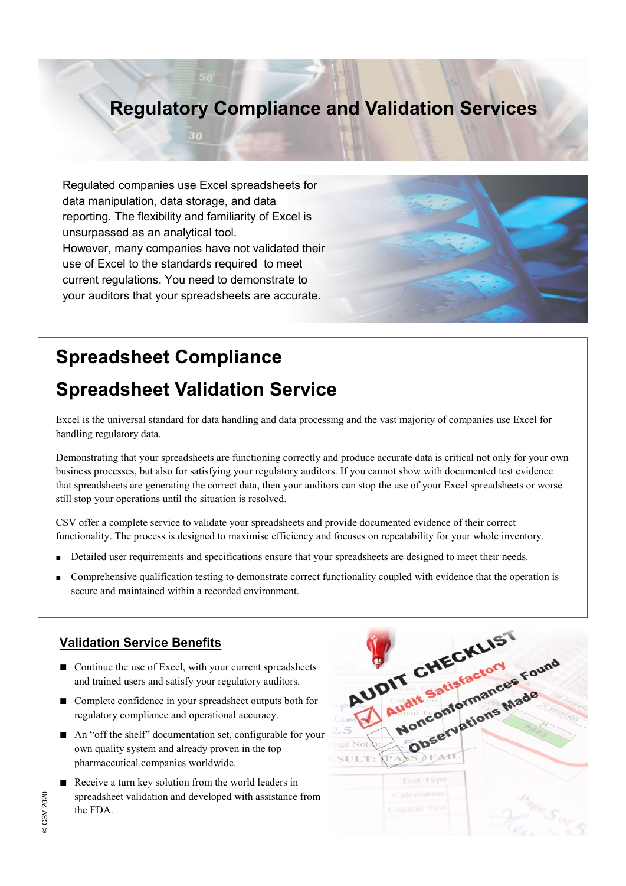### **Regulatory Compliance and Validation Services**

Regulated companies use Excel spreadsheets for data manipulation, data storage, and data reporting. The flexibility and familiarity of Excel is unsurpassed as an analytical tool. However, many companies have not validated their use of Excel to the standards required to meet current regulations. You need to demonstrate to your auditors that your spreadsheets are accurate.



# **Spreadsheet Compliance**

## **Spreadsheet Validation Service**

Excel is the universal standard for data handling and data processing and the vast majority of companies use Excel for handling regulatory data.

Demonstrating that your spreadsheets are functioning correctly and produce accurate data is critical not only for your own business processes, but also for satisfying your regulatory auditors. If you cannot show with documented test evidence that spreadsheets are generating the correct data, then your auditors can stop the use of your Excel spreadsheets or worse still stop your operations until the situation is resolved.

CSV offer a complete service to validate your spreadsheets and provide documented evidence of their correct functionality. The process is designed to maximise efficiency and focuses on repeatability for your whole inventory.

- Detailed user requirements and specifications ensure that your spreadsheets are designed to meet their needs.
- Comprehensive qualification testing to demonstrate correct functionality coupled with evidence that the operation is secure and maintained within a recorded environment.

#### **Validation Service Benefits**

- Continue the use of Excel, with your current spreadsheets and trained users and satisfy your regulatory auditors.
- Complete confidence in your spreadsheet outputs both for regulatory compliance and operational accuracy.
- An "off the shelf" documentation set, configurable for your own quality system and already proven in the top pharmaceutical companies worldwide.
- Receive a turn key solution from the world leaders in spreadsheet validation and developed with assistance from the FDA.